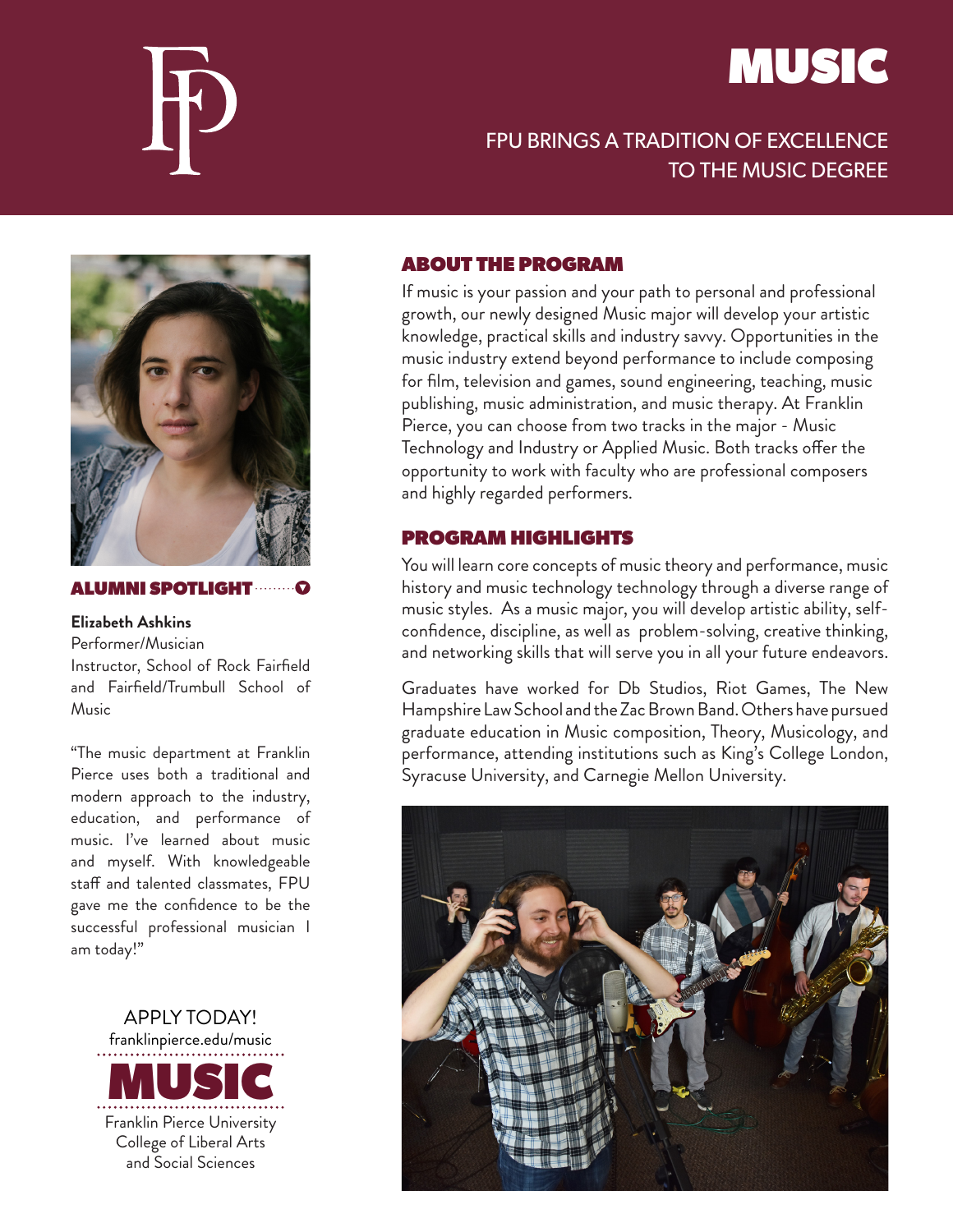

## MUSIC

## FPU BRINGS A TRADITION OF EXCELLENCE TO THE MUSIC DEGREE



#### ALUMNI SPOTLIGHT

#### **Elizabeth Ashkins**

Performer/Musician Instructor, School of Rock Fairfield and Fairfield/Trumbull School of Music

"The music department at Franklin Pierce uses both a traditional and modern approach to the industry, education, and performance of music. I've learned about music and myself. With knowledgeable staff and talented classmates, FPU gave me the confidence to be the successful professional musician I am today!"



## ABOUT THE PROGRAM

If music is your passion and your path to personal and professional growth, our newly designed Music major will develop your artistic knowledge, practical skills and industry savvy. Opportunities in the music industry extend beyond performance to include composing for film, television and games, sound engineering, teaching, music publishing, music administration, and music therapy. At Franklin Pierce, you can choose from two tracks in the major - Music Technology and Industry or Applied Music. Both tracks offer the opportunity to work with faculty who are professional composers and highly regarded performers.

## PROGRAM HIGHLIGHTS

You will learn core concepts of music theory and performance, music history and music technology technology through a diverse range of music styles. As a music major, you will develop artistic ability, selfconfidence, discipline, as well as problem-solving, creative thinking, and networking skills that will serve you in all your future endeavors.

Graduates have worked for Db Studios, Riot Games, The New Hampshire Law School and the Zac Brown Band. Others have pursued graduate education in Music composition, Theory, Musicology, and performance, attending institutions such as King's College London, Syracuse University, and Carnegie Mellon University.